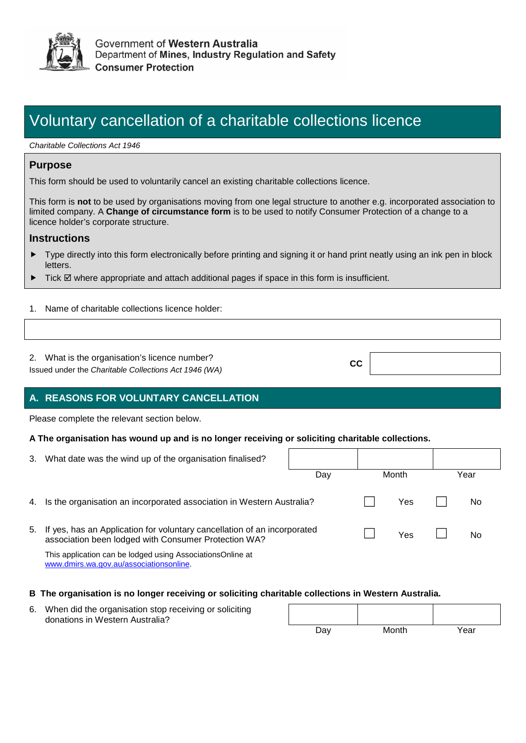

## Voluntary cancellation of a charitable collections licence

*Charitable Collections Act 1946*

## **Purpose**

This form should be used to voluntarily cancel an existing charitable collections licence.

This form is **not** to be used by organisations moving from one legal structure to another e.g. incorporated association to limited company. A **Change of circumstance form** is to be used to notify Consumer Protection of a change to a licence holder's corporate structure.

#### **Instructions**

 Type directly into this form electronically before printing and signing it or hand print neatly using an ink pen in block letters.

**CC**

- $\blacktriangleright$  Tick  $\boxtimes$  where appropriate and attach additional pages if space in this form is insufficient.
- 1. Name of charitable collections licence holder:
- 2. What is the organisation's licence number?

Issued under the *Charitable Collections Act 1946 (WA)*

## **A. REASONS FOR VOLUNTARY CANCELLATION**

Please complete the relevant section below.

#### **A The organisation has wound up and is no longer receiving or soliciting charitable collections.**

| 3. | What date was the wind up of the organisation finalised?                                                                         |     |       |     |      |  |
|----|----------------------------------------------------------------------------------------------------------------------------------|-----|-------|-----|------|--|
|    |                                                                                                                                  | Day | Month |     | Year |  |
| 4. | Is the organisation an incorporated association in Western Australia?                                                            |     |       | Yes | No   |  |
| 5. | If yes, has an Application for voluntary cancellation of an incorporated<br>association been lodged with Consumer Protection WA? |     |       | Yes | No   |  |
|    | This application can be lodged using AssociationsOnline at<br>www.dmirs.wa.gov.au/associationsonline.                            |     |       |     |      |  |

#### **B The organisation is no longer receiving or soliciting charitable collections in Western Australia.**

| 6. | When did the organisation stop receiving or soliciting<br>donations in Western Australia? |     |       |      |  |
|----|-------------------------------------------------------------------------------------------|-----|-------|------|--|
|    |                                                                                           | Dav | Month | Year |  |